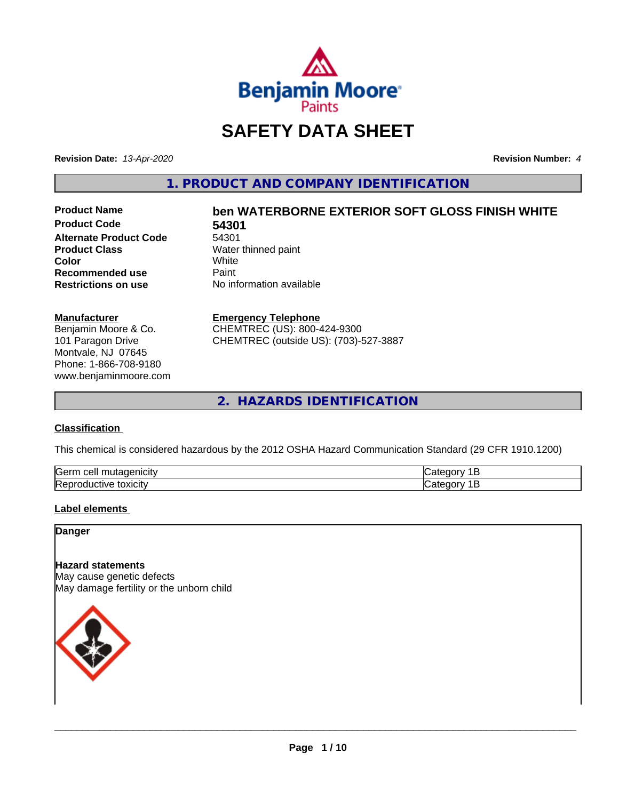

# **SAFETY DATA SHEET**

**Revision Date:** *13-Apr-2020* **Revision Number:** *4*

**1. PRODUCT AND COMPANY IDENTIFICATION**

**Product Code 54301 Alternate Product Code** 54301<br>**Product Class** Water **Color** White White **Recommended use** Paint<br> **Restrictions on use** No inf

# **Product Name ben WATERBORNE EXTERIOR SOFT GLOSS FINISH WHITE**

**Water thinned paint**<br>White **No information available** 

#### **Manufacturer**

Benjamin Moore & Co. 101 Paragon Drive Montvale, NJ 07645 Phone: 1-866-708-9180 www.benjaminmoore.com

#### **Emergency Telephone**

CHEMTREC (US): 800-424-9300 CHEMTREC (outside US): (703)-527-3887

**2. HAZARDS IDENTIFICATION**

## **Classification**

This chemical is considered hazardous by the 2012 OSHA Hazard Communication Standard (29 CFR 1910.1200)

| <b>Serr</b><br>. |  |
|------------------|--|
| Rep<br>UXIUII    |  |

#### **Label elements**

**Danger**

# **Hazard statements**

May cause genetic defects May damage fertility or the unborn child

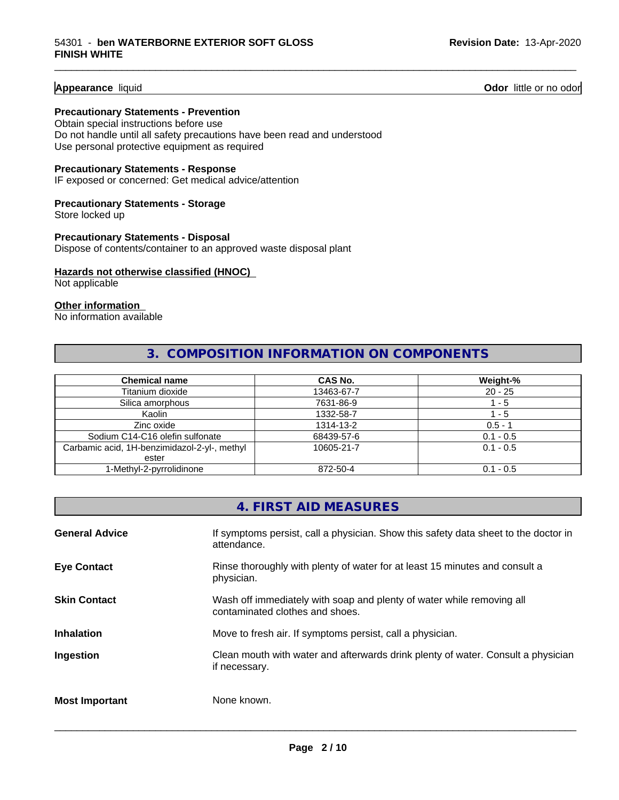**Appearance** liquid **Odor 11 Odor 11 Odor 11 Odor 11 Odor 11 Odor 11 Odor 11 Odor 11 Odor 11 Odor 11 Odor 11 Odor 11 Odor 11 Odor 11 Odor 11 Odor 11 Odor 11 Odor 11 Odor** 11

#### **Precautionary Statements - Prevention**

Obtain special instructions before use Do not handle until all safety precautions have been read and understood Use personal protective equipment as required

#### **Precautionary Statements - Response**

IF exposed or concerned: Get medical advice/attention

# **Precautionary Statements - Storage**

Store locked up

#### **Precautionary Statements - Disposal** Dispose of contents/container to an approved waste disposal plant

## **Hazards not otherwise classified (HNOC)**

Not applicable

#### **Other information**

No information available

# **3. COMPOSITION INFORMATION ON COMPONENTS**

\_\_\_\_\_\_\_\_\_\_\_\_\_\_\_\_\_\_\_\_\_\_\_\_\_\_\_\_\_\_\_\_\_\_\_\_\_\_\_\_\_\_\_\_\_\_\_\_\_\_\_\_\_\_\_\_\_\_\_\_\_\_\_\_\_\_\_\_\_\_\_\_\_\_\_\_\_\_\_\_\_\_\_\_\_\_\_\_\_\_\_\_\_

| <b>Chemical name</b>                         | CAS No.    | Weight-%    |
|----------------------------------------------|------------|-------------|
| Titanium dioxide                             | 13463-67-7 | $20 - 25$   |
| Silica amorphous                             | 7631-86-9  | - 5         |
| Kaolin                                       | 1332-58-7  | - 5         |
| Zinc oxide                                   | 1314-13-2  | $0.5 - 1$   |
| Sodium C14-C16 olefin sulfonate              | 68439-57-6 | $0.1 - 0.5$ |
| Carbamic acid, 1H-benzimidazol-2-yl-, methyl | 10605-21-7 | $0.1 - 0.5$ |
| ester                                        |            |             |
| 1-Methyl-2-pyrrolidinone                     | 872-50-4   | $0.1 - 0.5$ |

# **4. FIRST AID MEASURES**

| <b>General Advice</b> | If symptoms persist, call a physician. Show this safety data sheet to the doctor in<br>attendance.       |
|-----------------------|----------------------------------------------------------------------------------------------------------|
| <b>Eye Contact</b>    | Rinse thoroughly with plenty of water for at least 15 minutes and consult a<br>physician.                |
| <b>Skin Contact</b>   | Wash off immediately with soap and plenty of water while removing all<br>contaminated clothes and shoes. |
| <b>Inhalation</b>     | Move to fresh air. If symptoms persist, call a physician.                                                |
| Ingestion             | Clean mouth with water and afterwards drink plenty of water. Consult a physician<br>if necessary.        |
| <b>Most Important</b> | None known.                                                                                              |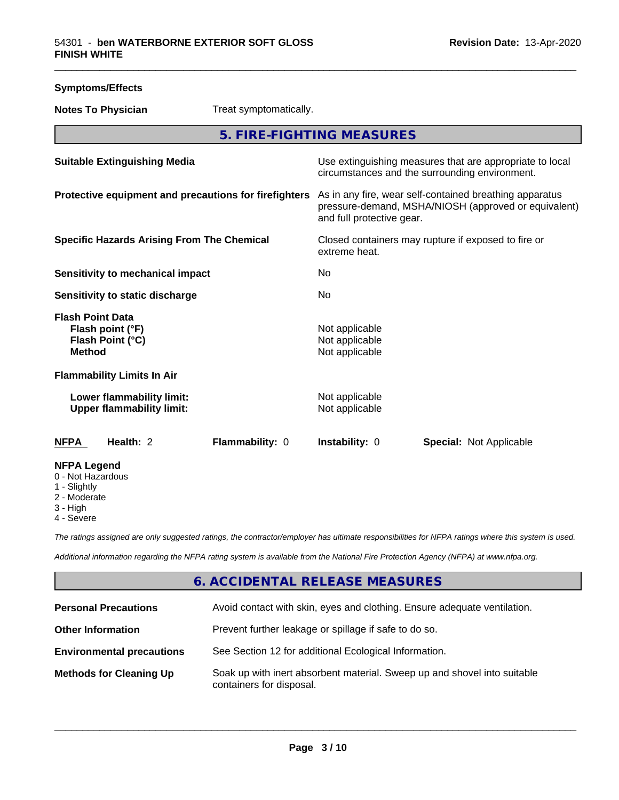| <b>Symptoms/Effects</b>                                                          |                                                                                                                                              |  |
|----------------------------------------------------------------------------------|----------------------------------------------------------------------------------------------------------------------------------------------|--|
| Treat symptomatically.<br><b>Notes To Physician</b>                              |                                                                                                                                              |  |
|                                                                                  | 5. FIRE-FIGHTING MEASURES                                                                                                                    |  |
| <b>Suitable Extinguishing Media</b>                                              | Use extinguishing measures that are appropriate to local<br>circumstances and the surrounding environment.                                   |  |
| Protective equipment and precautions for firefighters                            | As in any fire, wear self-contained breathing apparatus<br>pressure-demand, MSHA/NIOSH (approved or equivalent)<br>and full protective gear. |  |
| <b>Specific Hazards Arising From The Chemical</b>                                | Closed containers may rupture if exposed to fire or<br>extreme heat.                                                                         |  |
| <b>Sensitivity to mechanical impact</b>                                          | No                                                                                                                                           |  |
| Sensitivity to static discharge                                                  | No                                                                                                                                           |  |
| <b>Flash Point Data</b><br>Flash point (°F)<br>Flash Point (°C)<br><b>Method</b> | Not applicable<br>Not applicable<br>Not applicable                                                                                           |  |
| <b>Flammability Limits In Air</b>                                                |                                                                                                                                              |  |
| Lower flammability limit:<br><b>Upper flammability limit:</b>                    | Not applicable<br>Not applicable                                                                                                             |  |
| <b>NFPA</b><br>Health: 2<br>Flammability: 0                                      | Instability: 0<br><b>Special: Not Applicable</b>                                                                                             |  |
| <b>NFPA Legend</b><br>0 - Not Hazardous<br>1 - Slightly                          |                                                                                                                                              |  |

2 - Moderate

3 - High

4 - Severe

*The ratings assigned are only suggested ratings, the contractor/employer has ultimate responsibilities for NFPA ratings where this system is used.*

*Additional information regarding the NFPA rating system is available from the National Fire Protection Agency (NFPA) at www.nfpa.org.*

# **6. ACCIDENTAL RELEASE MEASURES**

| <b>Personal Precautions</b>      | Avoid contact with skin, eyes and clothing. Ensure adequate ventilation.                             |
|----------------------------------|------------------------------------------------------------------------------------------------------|
| <b>Other Information</b>         | Prevent further leakage or spillage if safe to do so.                                                |
| <b>Environmental precautions</b> | See Section 12 for additional Ecological Information.                                                |
| <b>Methods for Cleaning Up</b>   | Soak up with inert absorbent material. Sweep up and shovel into suitable<br>containers for disposal. |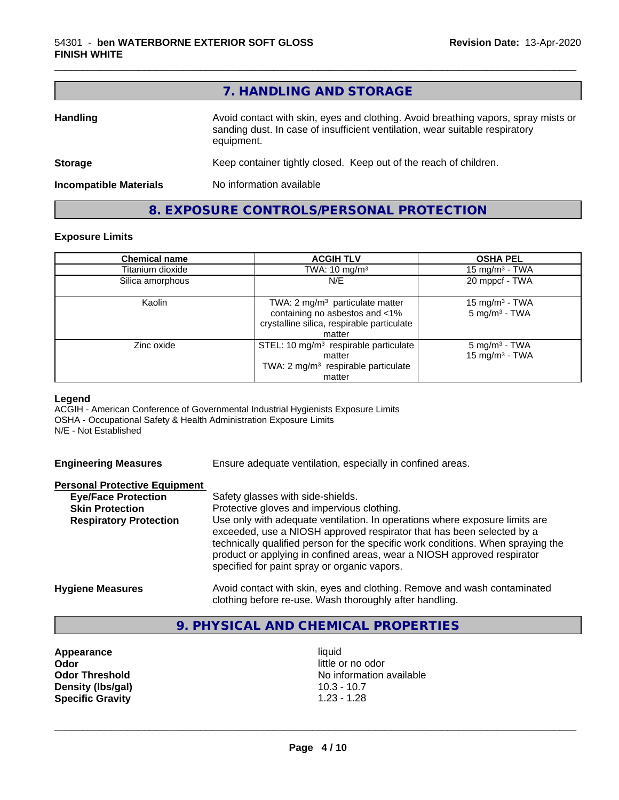|                               | 7. HANDLING AND STORAGE                                                                                                                                                          |
|-------------------------------|----------------------------------------------------------------------------------------------------------------------------------------------------------------------------------|
| <b>Handling</b>               | Avoid contact with skin, eyes and clothing. Avoid breathing vapors, spray mists or<br>sanding dust. In case of insufficient ventilation, wear suitable respiratory<br>equipment. |
| <b>Storage</b>                | Keep container tightly closed. Keep out of the reach of children.                                                                                                                |
| <b>Incompatible Materials</b> | No information available                                                                                                                                                         |
|                               | 8. EXPOSURE CONTROLS/PERSONAL PROTECTION                                                                                                                                         |

#### **Exposure Limits**

| <b>Chemical name</b> | <b>ACGIH TLV</b>                                                                                                                     | <b>OSHA PEL</b>                                        |  |
|----------------------|--------------------------------------------------------------------------------------------------------------------------------------|--------------------------------------------------------|--|
| Titanium dioxide     | TWA: $10 \text{ mg/m}^3$                                                                                                             | 15 mg/m $3$ - TWA                                      |  |
| Silica amorphous     | N/E                                                                                                                                  | 20 mppcf - TWA                                         |  |
| Kaolin               | TWA: $2 \text{ mg/m}^3$ particulate matter<br>containing no asbestos and <1%<br>crystalline silica, respirable particulate<br>matter | 15 mg/m <sup>3</sup> - TWA<br>$5 \text{ mg/m}^3$ - TWA |  |
| Zinc oxide           | STEL: 10 mg/m <sup>3</sup> respirable particulate<br>matter<br>TWA: 2 mg/m <sup>3</sup> respirable particulate<br>matter             | 5 mg/m <sup>3</sup> - TWA<br>15 mg/m $3$ - TWA         |  |

#### **Legend**

ACGIH - American Conference of Governmental Industrial Hygienists Exposure Limits OSHA - Occupational Safety & Health Administration Exposure Limits N/E - Not Established

Ensure adequate ventilation, especially in confined areas.

#### **Personal Protective Equipment**

| <b>Eye/Face Protection</b>    | Safety glasses with side-shields.                                                                                                                                                                                                                                                    |
|-------------------------------|--------------------------------------------------------------------------------------------------------------------------------------------------------------------------------------------------------------------------------------------------------------------------------------|
| <b>Skin Protection</b>        | Protective gloves and impervious clothing.                                                                                                                                                                                                                                           |
| <b>Respiratory Protection</b> | Use only with adequate ventilation. In operations where exposure limits are                                                                                                                                                                                                          |
|                               | exceeded, use a NIOSH approved respirator that has been selected by a<br>technically qualified person for the specific work conditions. When spraying the<br>product or applying in confined areas, wear a NIOSH approved respirator<br>specified for paint spray or organic vapors. |
| <b>Hygiene Measures</b>       | Avoid contact with skin, eyes and clothing. Remove and wash contaminated<br>clothing before re-use. Wash thoroughly after handling.                                                                                                                                                  |

# **9. PHYSICAL AND CHEMICAL PROPERTIES**

**Appearance** liquid **Odor**<br> **Odor Threshold**<br> **Odor Threshold**<br> **Odor Threshold**<br> **Odor Density (Ibs/gal)** 10.3 - 10.7<br> **Specific Gravity** 1.23 - 1.28 **Specific Gravity** 

**No information available**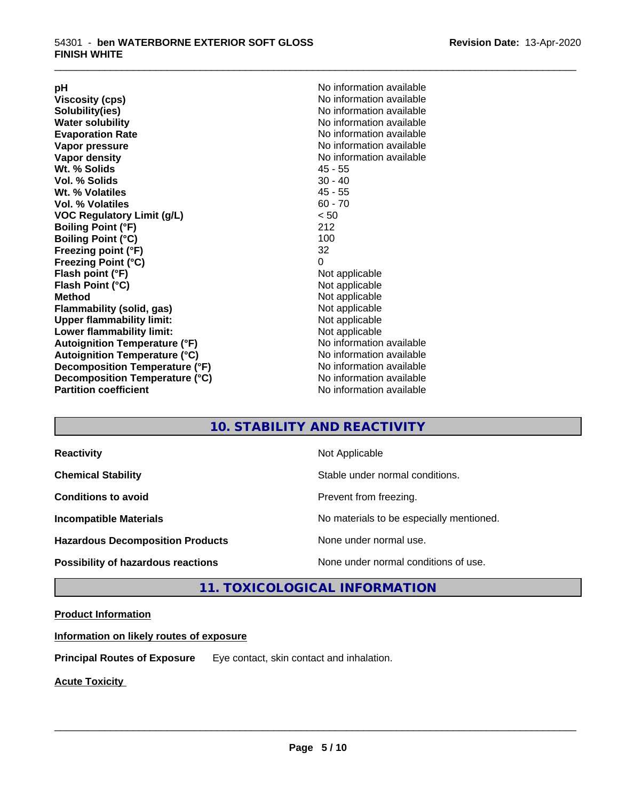**Viscosity (cps)** <br> **Viscosity (cps)** No information available<br>
No information available<br>
No information available **Water solubility**<br> **Evaporation Rate**<br> **Evaporation Rate**<br> **Evaporation Rate Vapor pressure** No information available **Vapor density No information available No information available Wt. % Solids** 45 - 55 **Vol. % Solids Wt. % Volatiles** 45 - 55 **Vol. % Volatiles** 60 - 70 **VOC Regulatory Limit (g/L)** < 50 **Boiling Point (°F)** 212 **Boiling Point (°C) Freezing point (°F)** 32 **Freezing Point (°C)** 0 **Flash point (°F)** Not applicable **Flash Point (°C)** Not applicable **Method**<br> **Flammability (solid, gas)**<br> **Example 2018** Not applicable **Flammability** (solid, gas) **Upper flammability limit:** Not applicable **Lower flammability limit:** Not applicable **Autoignition Temperature (°F)** No information available **Autoignition Temperature (°C)**<br> **Decomposition Temperature (°F)** Moinformation available **Decomposition Temperature (°F) Decomposition Temperature (°C)** No information available<br> **Partition coefficient Partition available** 

**pH**<br>
Viscosity (cps) The Contract Contract Contract Contract Contract Contract Contract Contract Contract Contract Co<br>
No information available **Solubility(ies)** No information available **Evaporation Rate** No information available **No information available** 

\_\_\_\_\_\_\_\_\_\_\_\_\_\_\_\_\_\_\_\_\_\_\_\_\_\_\_\_\_\_\_\_\_\_\_\_\_\_\_\_\_\_\_\_\_\_\_\_\_\_\_\_\_\_\_\_\_\_\_\_\_\_\_\_\_\_\_\_\_\_\_\_\_\_\_\_\_\_\_\_\_\_\_\_\_\_\_\_\_\_\_\_\_

# **10. STABILITY AND REACTIVITY**

| <b>Reactivity</b>                         | Not Applicable                           |
|-------------------------------------------|------------------------------------------|
| <b>Chemical Stability</b>                 | Stable under normal conditions.          |
| <b>Conditions to avoid</b>                | Prevent from freezing.                   |
| <b>Incompatible Materials</b>             | No materials to be especially mentioned. |
| <b>Hazardous Decomposition Products</b>   | None under normal use.                   |
| <b>Possibility of hazardous reactions</b> | None under normal conditions of use.     |

# **11. TOXICOLOGICAL INFORMATION**

# **Product Information**

**Information on likely routes of exposure**

**Principal Routes of Exposure** Eye contact, skin contact and inhalation.

**Acute Toxicity**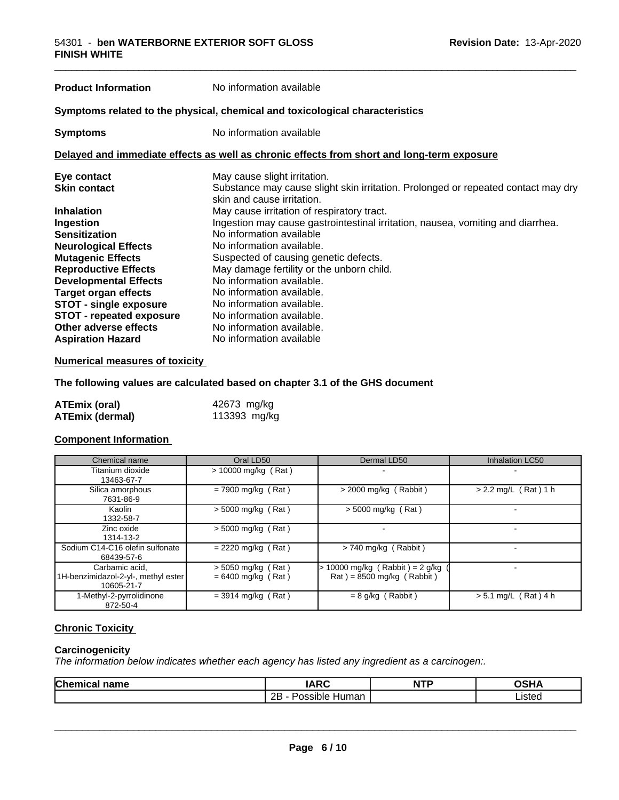# **Product Information** No information available **Symptoms** related to the physical, chemical and toxicological characteristics **Symptoms** No information available **Delayed and immediate effects as well as chronic effects from short and long-term exposure Eye contact Execution Contact May cause slight irritation.**<br> **Skin contact** Substance may cause slig Substance may cause slight skin irritation. Prolonged or repeated contact may dry skin and cause irritation. **Inhalation**<br> **Ingestion**<br> **Ingestion**<br>
Ingestion may cause gastrointestinal irr **Ingestion** Ingestion may cause gastrointestinal irritation, nausea, vomiting and diarrhea. **Sensitization** No information available **Neurological Effects**<br> **Mutagenic Effects**<br> **Mutagenic Effects**<br> **No information available.** Suspected of causing genetic defects. **Reproductive Effects** May damage fertility or the unborn child.<br> **Developmental Effects** Mo information available **Developmental Effects Target organ effects** No information available. **STOT** - single exposure No information available. **STOT - repeated exposure** No information available.<br> **Other adverse effects** No information available. **Other adverse effects Aspiration Hazard** No information available

#### **Numerical measures of toxicity**

**The following values are calculated based on chapter 3.1 of the GHS document**

| ATEmix (oral)          | 42673 mg/kg  |
|------------------------|--------------|
| <b>ATEmix (dermal)</b> | 113393 mg/kg |

#### **Component Information**

| Chemical name                                                       | Oral LD50                                    | Dermal LD50                                                                          | <b>Inhalation LC50</b> |
|---------------------------------------------------------------------|----------------------------------------------|--------------------------------------------------------------------------------------|------------------------|
| Titanium dioxide<br>13463-67-7                                      | $> 10000$ mg/kg (Rat)                        |                                                                                      |                        |
| Silica amorphous<br>7631-86-9                                       | $= 7900$ mg/kg (Rat)                         | $>$ 2000 mg/kg (Rabbit)                                                              | $> 2.2$ mg/L (Rat) 1 h |
| Kaolin<br>1332-58-7                                                 | $> 5000$ mg/kg (Rat)                         | $>$ 5000 mg/kg (Rat)                                                                 |                        |
| Zinc oxide<br>1314-13-2                                             | $> 5000$ mg/kg (Rat)                         |                                                                                      |                        |
| Sodium C14-C16 olefin sulfonate<br>68439-57-6                       | $= 2220$ mg/kg (Rat)                         | $> 740$ mg/kg (Rabbit)                                                               |                        |
| Carbamic acid.<br>1H-benzimidazol-2-yl-, methyl ester<br>10605-21-7 | $> 5050$ mg/kg (Rat)<br>$= 6400$ mg/kg (Rat) | $> 10000$ mg/kg (Rabbit) = 2 g/kg<br>$\text{Rat}$ ) = 8500 mg/kg ( $\text{Rabbit}$ ) |                        |
| 1-Methyl-2-pyrrolidinone<br>872-50-4                                | $=$ 3914 mg/kg (Rat)                         | $= 8$ g/kg (Rabbit)                                                                  | $> 5.1$ mg/L (Rat) 4 h |

# **Chronic Toxicity**

#### **Carcinogenicity**

*The information below indicateswhether each agency has listed any ingredient as a carcinogen:.*

| Chemica<br>name<br>nica | IADC<br>א<br>יתו            | <b>NTP</b> | ∩ເມ∧<br>AP. |
|-------------------------|-----------------------------|------------|-------------|
|                         | <br>2B<br>Possible<br>Human |            | Listed      |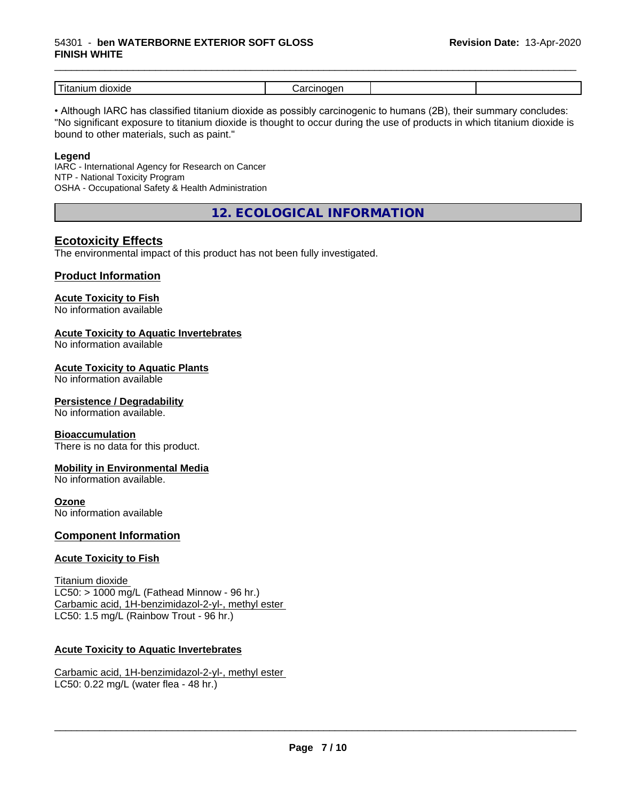#### 54301 - **ben WATERBORNE EXTERIOR SOFT GLOSS FINISH WHITE**

| _<br>dioxide<br>$\sim$ $\sim$<br>шл<br>1 L c | .<br> |  |
|----------------------------------------------|-------|--|

\_\_\_\_\_\_\_\_\_\_\_\_\_\_\_\_\_\_\_\_\_\_\_\_\_\_\_\_\_\_\_\_\_\_\_\_\_\_\_\_\_\_\_\_\_\_\_\_\_\_\_\_\_\_\_\_\_\_\_\_\_\_\_\_\_\_\_\_\_\_\_\_\_\_\_\_\_\_\_\_\_\_\_\_\_\_\_\_\_\_\_\_\_

• Although IARC has classified titanium dioxide as possibly carcinogenic to humans (2B), their summary concludes: "No significant exposure to titanium dioxide is thought to occur during the use of products in which titanium dioxide is bound to other materials, such as paint."

#### **Legend**

IARC - International Agency for Research on Cancer NTP - National Toxicity Program OSHA - Occupational Safety & Health Administration

**12. ECOLOGICAL INFORMATION**

# **Ecotoxicity Effects**

The environmental impact of this product has not been fully investigated.

## **Product Information**

# **Acute Toxicity to Fish**

No information available

## **Acute Toxicity to Aquatic Invertebrates**

No information available

## **Acute Toxicity to Aquatic Plants**

No information available

#### **Persistence / Degradability**

No information available.

#### **Bioaccumulation**

There is no data for this product.

#### **Mobility in Environmental Media**

No information available.

#### **Ozone**

No information available

#### **Component Information**

#### **Acute Toxicity to Fish**

Titanium dioxide  $LC50:$  > 1000 mg/L (Fathead Minnow - 96 hr.) Carbamic acid, 1H-benzimidazol-2-yl-, methyl ester LC50: 1.5 mg/L (Rainbow Trout - 96 hr.)

## **Acute Toxicity to Aquatic Invertebrates**

Carbamic acid, 1H-benzimidazol-2-yl-, methyl ester LC50: 0.22 mg/L (water flea - 48 hr.)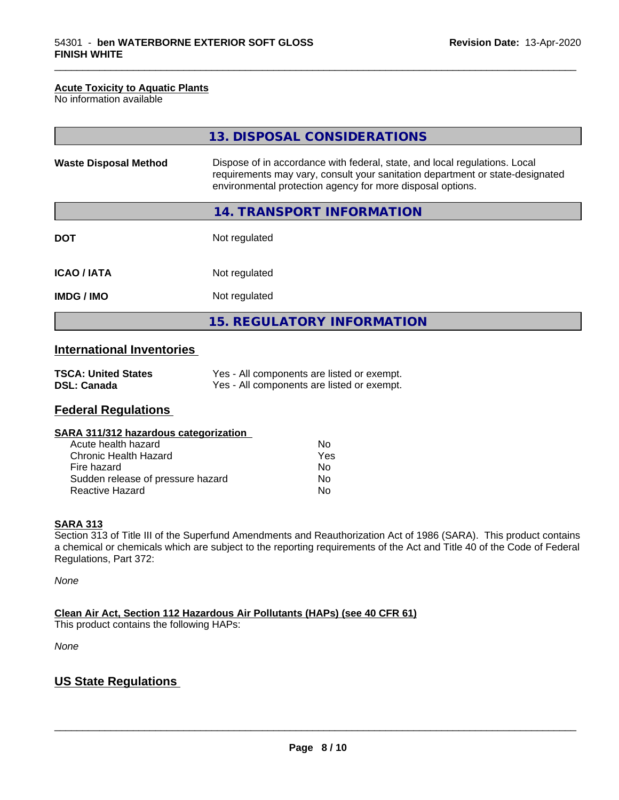#### **Acute Toxicity to Aquatic Plants**

No information available

|                              | 13. DISPOSAL CONSIDERATIONS                                                                                                                                                                                               |
|------------------------------|---------------------------------------------------------------------------------------------------------------------------------------------------------------------------------------------------------------------------|
| <b>Waste Disposal Method</b> | Dispose of in accordance with federal, state, and local regulations. Local<br>requirements may vary, consult your sanitation department or state-designated<br>environmental protection agency for more disposal options. |
|                              | 14. TRANSPORT INFORMATION                                                                                                                                                                                                 |
| <b>DOT</b>                   | Not regulated                                                                                                                                                                                                             |
| <b>ICAO/IATA</b>             | Not regulated                                                                                                                                                                                                             |
| <b>IMDG/IMO</b>              | Not regulated                                                                                                                                                                                                             |
|                              | <b>15. REGULATORY INFORMATION</b>                                                                                                                                                                                         |

\_\_\_\_\_\_\_\_\_\_\_\_\_\_\_\_\_\_\_\_\_\_\_\_\_\_\_\_\_\_\_\_\_\_\_\_\_\_\_\_\_\_\_\_\_\_\_\_\_\_\_\_\_\_\_\_\_\_\_\_\_\_\_\_\_\_\_\_\_\_\_\_\_\_\_\_\_\_\_\_\_\_\_\_\_\_\_\_\_\_\_\_\_

# **International Inventories**

| <b>TSCA: United States</b> | Yes - All components are listed or exempt. |
|----------------------------|--------------------------------------------|
| <b>DSL: Canada</b>         | Yes - All components are listed or exempt. |

# **Federal Regulations**

| SARA 311/312 hazardous categorization |  |
|---------------------------------------|--|
|---------------------------------------|--|

| Acute health hazard               | Nο  |
|-----------------------------------|-----|
| Chronic Health Hazard             | Yes |
| Fire hazard                       | Nο  |
| Sudden release of pressure hazard | Nο  |
| <b>Reactive Hazard</b>            | N٥  |

#### **SARA 313**

Section 313 of Title III of the Superfund Amendments and Reauthorization Act of 1986 (SARA). This product contains a chemical or chemicals which are subject to the reporting requirements of the Act and Title 40 of the Code of Federal Regulations, Part 372:

*None*

**Clean Air Act,Section 112 Hazardous Air Pollutants (HAPs) (see 40 CFR 61)**

This product contains the following HAPs:

*None*

# **US State Regulations**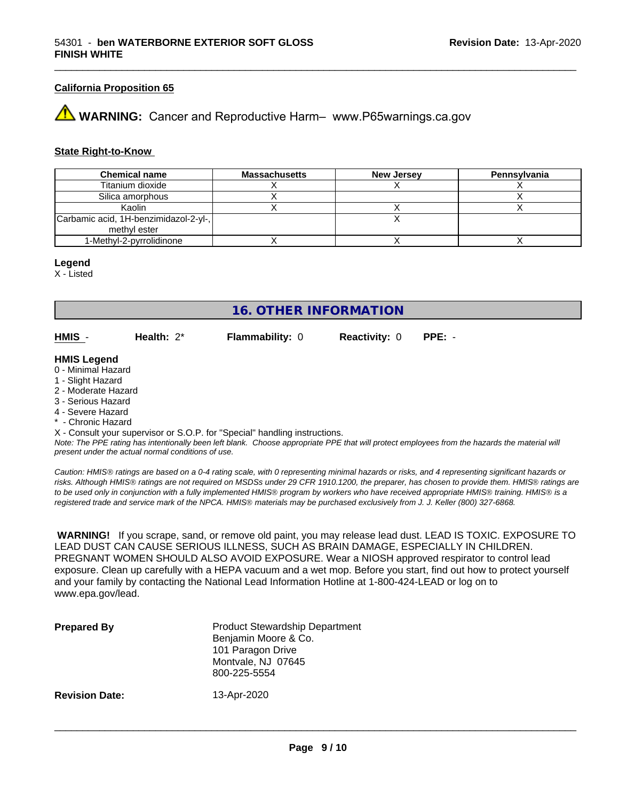#### **California Proposition 65**

**WARNING:** Cancer and Reproductive Harm– www.P65warnings.ca.gov

#### **State Right-to-Know**

| <b>Chemical name</b>                  | <b>Massachusetts</b> | <b>New Jersey</b> | Pennsylvania |
|---------------------------------------|----------------------|-------------------|--------------|
| Titanium dioxide                      |                      |                   |              |
| Silica amorphous                      |                      |                   |              |
| Kaolin                                |                      |                   |              |
| Carbamic acid, 1H-benzimidazol-2-yl-, |                      |                   |              |
| methyl ester                          |                      |                   |              |
| 1-Methyl-2-pyrrolidinone              |                      |                   |              |

#### **Legend**

X - Listed

# **16. OTHER INFORMATION**

**HMIS** - **Health:** 2\* **Flammability:** 0 **Reactivity:** 0 **PPE:** -

#### **HMIS Legend**

- 0 Minimal Hazard
- 1 Slight Hazard
- 2 Moderate Hazard
- 3 Serious Hazard
- 4 Severe Hazard
- Chronic Hazard

X - Consult your supervisor or S.O.P. for "Special" handling instructions.

*Note: The PPE rating has intentionally been left blank. Choose appropriate PPE that will protect employees from the hazards the material will present under the actual normal conditions of use.*

*Caution: HMISÒ ratings are based on a 0-4 rating scale, with 0 representing minimal hazards or risks, and 4 representing significant hazards or risks. Although HMISÒ ratings are not required on MSDSs under 29 CFR 1910.1200, the preparer, has chosen to provide them. HMISÒ ratings are to be used only in conjunction with a fully implemented HMISÒ program by workers who have received appropriate HMISÒ training. HMISÒ is a registered trade and service mark of the NPCA. HMISÒ materials may be purchased exclusively from J. J. Keller (800) 327-6868.*

 **WARNING!** If you scrape, sand, or remove old paint, you may release lead dust. LEAD IS TOXIC. EXPOSURE TO LEAD DUST CAN CAUSE SERIOUS ILLNESS, SUCH AS BRAIN DAMAGE, ESPECIALLY IN CHILDREN. PREGNANT WOMEN SHOULD ALSO AVOID EXPOSURE.Wear a NIOSH approved respirator to control lead exposure. Clean up carefully with a HEPA vacuum and a wet mop. Before you start, find out how to protect yourself and your family by contacting the National Lead Information Hotline at 1-800-424-LEAD or log on to www.epa.gov/lead.

| <b>Prepared By</b>    | <b>Product Stewardship Department</b><br>Benjamin Moore & Co.<br>101 Paragon Drive<br>Montvale, NJ 07645<br>800-225-5554 |
|-----------------------|--------------------------------------------------------------------------------------------------------------------------|
| <b>Revision Date:</b> | 13-Apr-2020                                                                                                              |